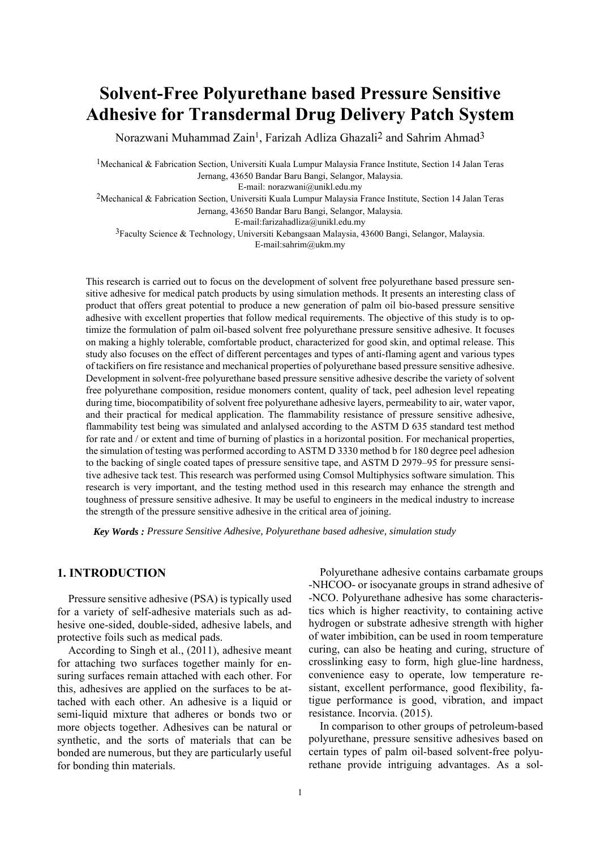# **Solvent-Free Polyurethane based Pressure Sensitive Adhesive for Transdermal Drug Delivery Patch System**

Norazwani Muhammad Zain<sup>1</sup>, Farizah Adliza Ghazali<sup>2</sup> and Sahrim Ahmad<sup>3</sup>

1Mechanical & Fabrication Section, Universiti Kuala Lumpur Malaysia France Institute, Section 14 Jalan Teras Jernang, 43650 Bandar Baru Bangi, Selangor, Malaysia.

E-mail: norazwani@unikl.edu.my

2Mechanical & Fabrication Section, Universiti Kuala Lumpur Malaysia France Institute, Section 14 Jalan Teras Jernang, 43650 Bandar Baru Bangi, Selangor, Malaysia.

E-mail:farizahadliza@unikl.edu.my

3Faculty Science & Technology, Universiti Kebangsaan Malaysia, 43600 Bangi, Selangor, Malaysia.

E-mail:sahrim@ukm.my

This research is carried out to focus on the development of solvent free polyurethane based pressure sensitive adhesive for medical patch products by using simulation methods. It presents an interesting class of product that offers great potential to produce a new generation of palm oil bio-based pressure sensitive adhesive with excellent properties that follow medical requirements. The objective of this study is to optimize the formulation of palm oil-based solvent free polyurethane pressure sensitive adhesive. It focuses on making a highly tolerable, comfortable product, characterized for good skin, and optimal release. This study also focuses on the effect of different percentages and types of anti-flaming agent and various types of tackifiers on fire resistance and mechanical properties of polyurethane based pressure sensitive adhesive. Development in solvent-free polyurethane based pressure sensitive adhesive describe the variety of solvent free polyurethane composition, residue monomers content, quality of tack, peel adhesion level repeating during time, biocompatibility of solvent free polyurethane adhesive layers, permeability to air, water vapor, and their practical for medical application. The flammability resistance of pressure sensitive adhesive, flammability test being was simulated and anlalysed according to the ASTM D 635 standard test method for rate and / or extent and time of burning of plastics in a horizontal position. For mechanical properties, the simulation of testing was performed according to ASTM D 3330 method b for 180 degree peel adhesion to the backing of single coated tapes of pressure sensitive tape, and ASTM D 2979–95 for pressure sensitive adhesive tack test. This research was performed using Comsol Multiphysics software simulation. This research is very important, and the testing method used in this research may enhance the strength and toughness of pressure sensitive adhesive. It may be useful to engineers in the medical industry to increase the strength of the pressure sensitive adhesive in the critical area of joining.

 *Key Words : Pressure Sensitive Adhesive, Polyurethane based adhesive, simulation study* 

# **1. INTRODUCTION**

Pressure sensitive adhesive (PSA) is typically used for a variety of self-adhesive materials such as adhesive one-sided, double-sided, adhesive labels, and protective foils such as medical pads.

According to Singh et al., (2011), adhesive meant for attaching two surfaces together mainly for ensuring surfaces remain attached with each other. For this, adhesives are applied on the surfaces to be attached with each other. An adhesive is a liquid or semi-liquid mixture that adheres or bonds two or more objects together. Adhesives can be natural or synthetic, and the sorts of materials that can be bonded are numerous, but they are particularly useful for bonding thin materials.

Polyurethane adhesive contains carbamate groups -NHCOO- or isocyanate groups in strand adhesive of -NCO. Polyurethane adhesive has some characteristics which is higher reactivity, to containing active hydrogen or substrate adhesive strength with higher of water imbibition, can be used in room temperature curing, can also be heating and curing, structure of crosslinking easy to form, high glue-line hardness, convenience easy to operate, low temperature resistant, excellent performance, good flexibility, fatigue performance is good, vibration, and impact resistance. Incorvia. (2015).

In comparison to other groups of petroleum-based polyurethane, pressure sensitive adhesives based on certain types of palm oil-based solvent-free polyurethane provide intriguing advantages. As a sol-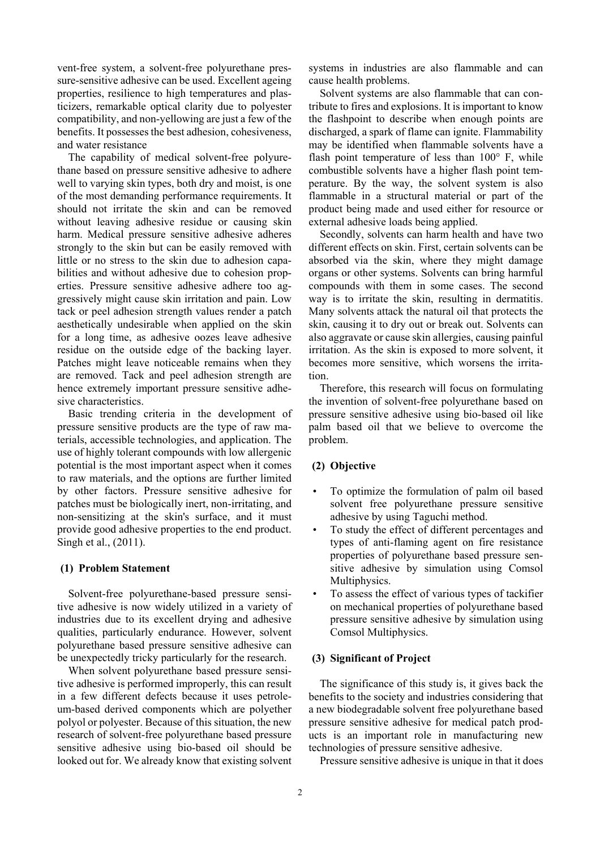vent-free system, a solvent-free polyurethane pressure-sensitive adhesive can be used. Excellent ageing properties, resilience to high temperatures and plasticizers, remarkable optical clarity due to polyester compatibility, and non-yellowing are just a few of the benefits. It possesses the best adhesion, cohesiveness, and water resistance

The capability of medical solvent-free polyurethane based on pressure sensitive adhesive to adhere well to varying skin types, both dry and moist, is one of the most demanding performance requirements. It should not irritate the skin and can be removed without leaving adhesive residue or causing skin harm. Medical pressure sensitive adhesive adheres strongly to the skin but can be easily removed with little or no stress to the skin due to adhesion capabilities and without adhesive due to cohesion properties. Pressure sensitive adhesive adhere too aggressively might cause skin irritation and pain. Low tack or peel adhesion strength values render a patch aesthetically undesirable when applied on the skin for a long time, as adhesive oozes leave adhesive residue on the outside edge of the backing layer. Patches might leave noticeable remains when they are removed. Tack and peel adhesion strength are hence extremely important pressure sensitive adhesive characteristics.

Basic trending criteria in the development of pressure sensitive products are the type of raw materials, accessible technologies, and application. The use of highly tolerant compounds with low allergenic potential is the most important aspect when it comes to raw materials, and the options are further limited by other factors. Pressure sensitive adhesive for patches must be biologically inert, non-irritating, and non-sensitizing at the skin's surface, and it must provide good adhesive properties to the end product. Singh et al., (2011).

#### **(1) Problem Statement**

Solvent-free polyurethane-based pressure sensitive adhesive is now widely utilized in a variety of industries due to its excellent drying and adhesive qualities, particularly endurance. However, solvent polyurethane based pressure sensitive adhesive can be unexpectedly tricky particularly for the research.

When solvent polyurethane based pressure sensitive adhesive is performed improperly, this can result in a few different defects because it uses petroleum-based derived components which are polyether polyol or polyester. Because of this situation, the new research of solvent-free polyurethane based pressure sensitive adhesive using bio-based oil should be looked out for. We already know that existing solvent systems in industries are also flammable and can cause health problems.

Solvent systems are also flammable that can contribute to fires and explosions. It is important to know the flashpoint to describe when enough points are discharged, a spark of flame can ignite. Flammability may be identified when flammable solvents have a flash point temperature of less than 100° F, while combustible solvents have a higher flash point temperature. By the way, the solvent system is also flammable in a structural material or part of the product being made and used either for resource or external adhesive loads being applied.

Secondly, solvents can harm health and have two different effects on skin. First, certain solvents can be absorbed via the skin, where they might damage organs or other systems. Solvents can bring harmful compounds with them in some cases. The second way is to irritate the skin, resulting in dermatitis. Many solvents attack the natural oil that protects the skin, causing it to dry out or break out. Solvents can also aggravate or cause skin allergies, causing painful irritation. As the skin is exposed to more solvent, it becomes more sensitive, which worsens the irritation.

Therefore, this research will focus on formulating the invention of solvent-free polyurethane based on pressure sensitive adhesive using bio-based oil like palm based oil that we believe to overcome the problem.

#### **(2) Objective**

- To optimize the formulation of palm oil based solvent free polyurethane pressure sensitive adhesive by using Taguchi method.
- To study the effect of different percentages and types of anti-flaming agent on fire resistance properties of polyurethane based pressure sensitive adhesive by simulation using Comsol Multiphysics.
- To assess the effect of various types of tackifier on mechanical properties of polyurethane based pressure sensitive adhesive by simulation using Comsol Multiphysics.

#### **(3) Significant of Project**

The significance of this study is, it gives back the benefits to the society and industries considering that a new biodegradable solvent free polyurethane based pressure sensitive adhesive for medical patch products is an important role in manufacturing new technologies of pressure sensitive adhesive.

Pressure sensitive adhesive is unique in that it does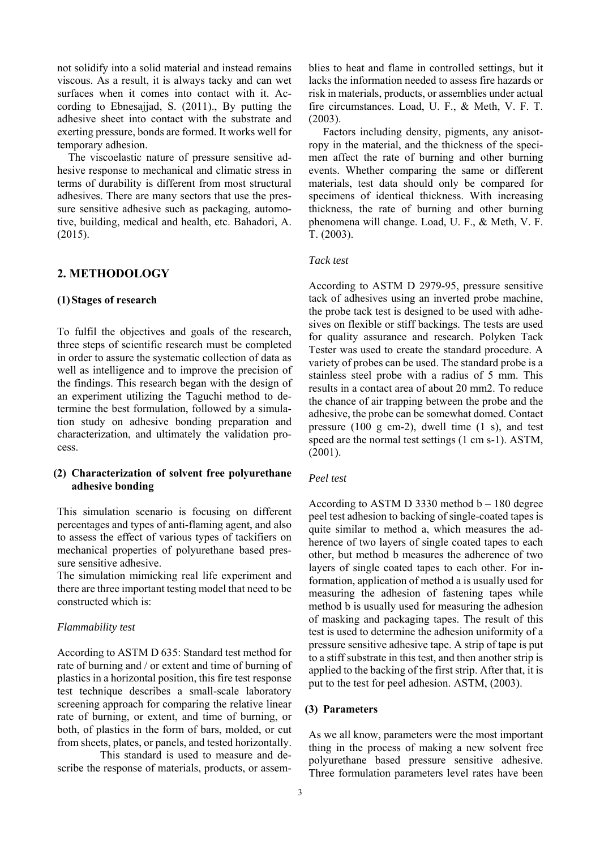not solidify into a solid material and instead remains viscous. As a result, it is always tacky and can wet surfaces when it comes into contact with it. According to Ebnesajiad, S.  $(2011)$ . By putting the adhesive sheet into contact with the substrate and exerting pressure, bonds are formed. It works well for temporary adhesion.

The viscoelastic nature of pressure sensitive adhesive response to mechanical and climatic stress in terms of durability is different from most structural adhesives. There are many sectors that use the pressure sensitive adhesive such as packaging, automotive, building, medical and health, etc. Bahadori, A. (2015).

# **2. METHODOLOGY**

#### **(1)Stages of research**

To fulfil the objectives and goals of the research, three steps of scientific research must be completed in order to assure the systematic collection of data as well as intelligence and to improve the precision of the findings. This research began with the design of an experiment utilizing the Taguchi method to determine the best formulation, followed by a simulation study on adhesive bonding preparation and characterization, and ultimately the validation process.

## **(2) Characterization of solvent free polyurethane adhesive bonding**

This simulation scenario is focusing on different percentages and types of anti-flaming agent, and also to assess the effect of various types of tackifiers on mechanical properties of polyurethane based pressure sensitive adhesive.

The simulation mimicking real life experiment and there are three important testing model that need to be constructed which is:

#### *Flammability test*

According to ASTM D 635: Standard test method for rate of burning and / or extent and time of burning of plastics in a horizontal position, this fire test response test technique describes a small-scale laboratory screening approach for comparing the relative linear rate of burning, or extent, and time of burning, or both, of plastics in the form of bars, molded, or cut from sheets, plates, or panels, and tested horizontally.

 This standard is used to measure and describe the response of materials, products, or assemblies to heat and flame in controlled settings, but it lacks the information needed to assess fire hazards or risk in materials, products, or assemblies under actual fire circumstances. Load, U. F., & Meth, V. F. T. (2003).

Factors including density, pigments, any anisotropy in the material, and the thickness of the specimen affect the rate of burning and other burning events. Whether comparing the same or different materials, test data should only be compared for specimens of identical thickness. With increasing thickness, the rate of burning and other burning phenomena will change. Load, U. F., & Meth, V. F. T. (2003).

## *Tack test*

According to ASTM D 2979-95, pressure sensitive tack of adhesives using an inverted probe machine, the probe tack test is designed to be used with adhesives on flexible or stiff backings. The tests are used for quality assurance and research. Polyken Tack Tester was used to create the standard procedure. A variety of probes can be used. The standard probe is a stainless steel probe with a radius of 5 mm. This results in a contact area of about 20 mm2. To reduce the chance of air trapping between the probe and the adhesive, the probe can be somewhat domed. Contact pressure (100 g cm-2), dwell time  $(1 \text{ s})$ , and test speed are the normal test settings (1 cm s-1). ASTM, (2001).

#### *Peel test*

According to ASTM D 3330 method  $b - 180$  degree peel test adhesion to backing of single-coated tapes is quite similar to method a, which measures the adherence of two layers of single coated tapes to each other, but method b measures the adherence of two layers of single coated tapes to each other. For information, application of method a is usually used for measuring the adhesion of fastening tapes while method b is usually used for measuring the adhesion of masking and packaging tapes. The result of this test is used to determine the adhesion uniformity of a pressure sensitive adhesive tape. A strip of tape is put to a stiff substrate in this test, and then another strip is applied to the backing of the first strip. After that, it is put to the test for peel adhesion. ASTM, (2003).

#### **(3) Parameters**

As we all know, parameters were the most important thing in the process of making a new solvent free polyurethane based pressure sensitive adhesive. Three formulation parameters level rates have been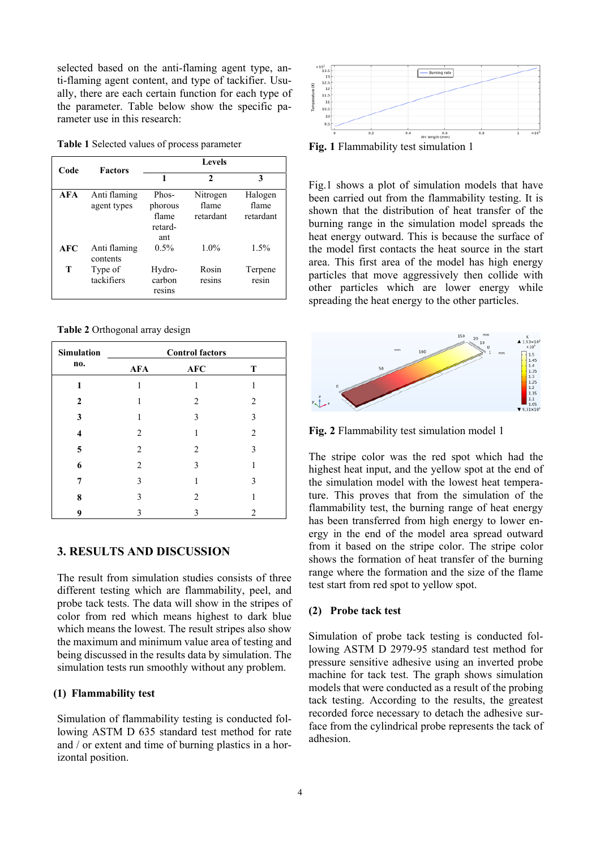selected based on the anti-flaming agent type, anti-flaming agent content, and type of tackifier. Usually, there are each certain function for each type of the parameter. Table below show the specific parameter use in this research:

**Table 1** Selected values of process parameter

| Code       | <b>Factors</b>              | <b>Levels</b>                               |                                |                               |  |
|------------|-----------------------------|---------------------------------------------|--------------------------------|-------------------------------|--|
|            |                             |                                             | $\mathfrak{D}$                 | 3                             |  |
| <b>AFA</b> | Anti flaming<br>agent types | Phos-<br>phorous<br>flame<br>retard-<br>ant | Nitrogen<br>flame<br>retardant | Halogen<br>flame<br>retardant |  |
| AFC        | Anti flaming<br>contents    | $0.5\%$                                     | $1.0\%$                        | 1.5%                          |  |
| т          | Type of<br>tackifiers       | Hydro-<br>carbon<br>resins                  | Rosin<br>resins                | Terpene<br>resin              |  |

**Table 2** Orthogonal array design

| <b>Simulation</b> | <b>Control factors</b> |           |                |  |  |
|-------------------|------------------------|-----------|----------------|--|--|
| no.               | <b>AFA</b>             | $\bf AFC$ | T              |  |  |
| 1                 |                        |           |                |  |  |
| $\mathbf{2}$      |                        | 2         | 2              |  |  |
| 3                 |                        | 3         | 3              |  |  |
| 4                 | 2                      |           | $\overline{2}$ |  |  |
| 5                 | 2                      | 2         | 3              |  |  |
| 6                 | $\overline{c}$         | 3         |                |  |  |
| 7                 | 3                      |           | 3              |  |  |
| 8                 | 3                      | 2         |                |  |  |
| q                 |                        |           |                |  |  |

# **3. RESULTS AND DISCUSSION**

The result from simulation studies consists of three different testing which are flammability, peel, and probe tack tests. The data will show in the stripes of color from red which means highest to dark blue which means the lowest. The result stripes also show the maximum and minimum value area of testing and being discussed in the results data by simulation. The simulation tests run smoothly without any problem.

# **(1) Flammability test**

Simulation of flammability testing is conducted following ASTM D 635 standard test method for rate and / or extent and time of burning plastics in a horizontal position.



**Fig. 1** Flammability test simulation 1

Fig.1 shows a plot of simulation models that have been carried out from the flammability testing. It is shown that the distribution of heat transfer of the burning range in the simulation model spreads the heat energy outward. This is because the surface of the model first contacts the heat source in the start area. This first area of the model has high energy particles that move aggressively then collide with other particles which are lower energy while spreading the heat energy to the other particles.



**Fig. 2** Flammability test simulation model 1

The stripe color was the red spot which had the highest heat input, and the yellow spot at the end of the simulation model with the lowest heat temperature. This proves that from the simulation of the flammability test, the burning range of heat energy has been transferred from high energy to lower energy in the end of the model area spread outward from it based on the stripe color. The stripe color shows the formation of heat transfer of the burning range where the formation and the size of the flame test start from red spot to yellow spot.

# **(2) Probe tack test**

Simulation of probe tack testing is conducted following ASTM D 2979-95 standard test method for pressure sensitive adhesive using an inverted probe machine for tack test. The graph shows simulation models that were conducted as a result of the probing tack testing. According to the results, the greatest recorded force necessary to detach the adhesive surface from the cylindrical probe represents the tack of adhesion.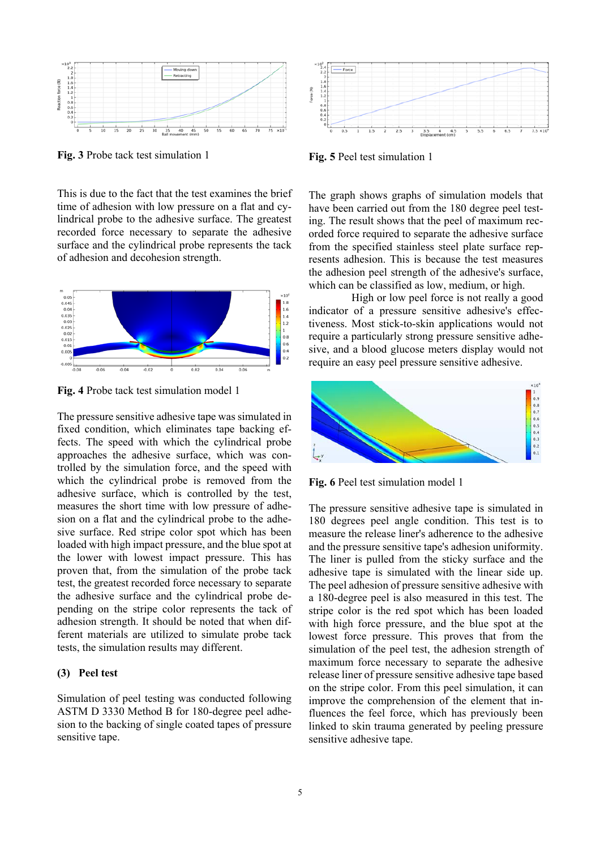

**Fig. 3** Probe tack test simulation 1

This is due to the fact that the test examines the brief time of adhesion with low pressure on a flat and cylindrical probe to the adhesive surface. The greatest recorded force necessary to separate the adhesive surface and the cylindrical probe represents the tack of adhesion and decohesion strength.



**Fig. 4** Probe tack test simulation model 1

The pressure sensitive adhesive tape was simulated in fixed condition, which eliminates tape backing effects. The speed with which the cylindrical probe approaches the adhesive surface, which was controlled by the simulation force, and the speed with which the cylindrical probe is removed from the adhesive surface, which is controlled by the test, measures the short time with low pressure of adhesion on a flat and the cylindrical probe to the adhesive surface. Red stripe color spot which has been loaded with high impact pressure, and the blue spot at the lower with lowest impact pressure. This has proven that, from the simulation of the probe tack test, the greatest recorded force necessary to separate the adhesive surface and the cylindrical probe depending on the stripe color represents the tack of adhesion strength. It should be noted that when different materials are utilized to simulate probe tack tests, the simulation results may different.

#### **(3) Peel test**

Simulation of peel testing was conducted following ASTM D 3330 Method B for 180-degree peel adhesion to the backing of single coated tapes of pressure sensitive tape.



**Fig. 5** Peel test simulation 1

The graph shows graphs of simulation models that have been carried out from the 180 degree peel testing. The result shows that the peel of maximum recorded force required to separate the adhesive surface from the specified stainless steel plate surface represents adhesion. This is because the test measures the adhesion peel strength of the adhesive's surface, which can be classified as low, medium, or high.

 High or low peel force is not really a good indicator of a pressure sensitive adhesive's effectiveness. Most stick-to-skin applications would not require a particularly strong pressure sensitive adhesive, and a blood glucose meters display would not require an easy peel pressure sensitive adhesive.



**Fig. 6** Peel test simulation model 1

The pressure sensitive adhesive tape is simulated in 180 degrees peel angle condition. This test is to measure the release liner's adherence to the adhesive and the pressure sensitive tape's adhesion uniformity. The liner is pulled from the sticky surface and the adhesive tape is simulated with the linear side up. The peel adhesion of pressure sensitive adhesive with a 180-degree peel is also measured in this test. The stripe color is the red spot which has been loaded with high force pressure, and the blue spot at the lowest force pressure. This proves that from the simulation of the peel test, the adhesion strength of maximum force necessary to separate the adhesive release liner of pressure sensitive adhesive tape based on the stripe color. From this peel simulation, it can improve the comprehension of the element that influences the feel force, which has previously been linked to skin trauma generated by peeling pressure sensitive adhesive tape.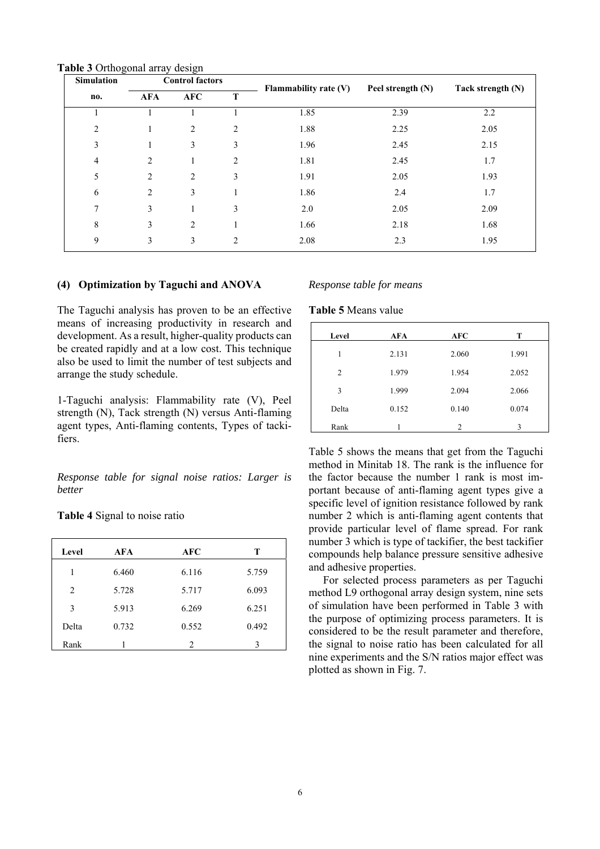| Simulation     |            | <b>Control factors</b> |                | Flammability rate $(V)$ | Peel strength (N) | Tack strength (N) |
|----------------|------------|------------------------|----------------|-------------------------|-------------------|-------------------|
| no.            | <b>AFA</b> | <b>AFC</b>             | T              |                         |                   |                   |
|                |            |                        |                | 1.85                    | 2.39              | 2.2               |
| $\overline{2}$ |            | 2                      | $\overline{c}$ | 1.88                    | 2.25              | 2.05              |
| 3              |            | 3                      | 3              | 1.96                    | 2.45              | 2.15              |
| $\overline{4}$ | 2          |                        | $\overline{2}$ | 1.81                    | 2.45              | 1.7               |
| 5              | 2          | $\overline{2}$         | 3              | 1.91                    | 2.05              | 1.93              |
| 6              | 2          | 3                      | 1              | 1.86                    | 2.4               | 1.7               |
| $\overline{7}$ | 3          | 1                      | 3              | 2.0                     | 2.05              | 2.09              |
| 8              | 3          | $\overline{2}$         |                | 1.66                    | 2.18              | 1.68              |
| 9              | 3          | 3                      | $\overline{2}$ | 2.08                    | 2.3               | 1.95              |

**Table 3** Orthogonal array design

## **(4) Optimization by Taguchi and ANOVA**

The Taguchi analysis has proven to be an effective means of increasing productivity in research and development. As a result, higher-quality products can be created rapidly and at a low cost. This technique also be used to limit the number of test subjects and arrange the study schedule.

1-Taguchi analysis: Flammability rate (V), Peel strength (N), Tack strength (N) versus Anti-flaming agent types, Anti-flaming contents, Types of tackifiers.

*Response table for signal noise ratios: Larger is better* 

| Table 4 Signal to noise ratio |  |  |
|-------------------------------|--|--|

| Level | AFA   | AFC   | т     |
|-------|-------|-------|-------|
| 1     | 6.460 | 6.116 | 5.759 |
| 2     | 5.728 | 5.717 | 6.093 |
| 3     | 5.913 | 6.269 | 6.251 |
| Delta | 0.732 | 0.552 | 0.492 |
| Rank  |       | 2     |       |

#### *Response table for means*

| Level | AFA   | AFC            | т     |
|-------|-------|----------------|-------|
| 1     | 2.131 | 2.060          | 1.991 |
| 2     | 1.979 | 1.954          | 2.052 |
| 3     | 1.999 | 2.094          | 2.066 |
| Delta | 0.152 | 0.140          | 0.074 |
| Rank  |       | $\overline{c}$ | 3     |

Table 5 shows the means that get from the Taguchi method in Minitab 18. The rank is the influence for the factor because the number 1 rank is most important because of anti-flaming agent types give a specific level of ignition resistance followed by rank number 2 which is anti-flaming agent contents that provide particular level of flame spread. For rank number 3 which is type of tackifier, the best tackifier compounds help balance pressure sensitive adhesive and adhesive properties.

For selected process parameters as per Taguchi method L9 orthogonal array design system, nine sets of simulation have been performed in Table 3 with the purpose of optimizing process parameters. It is considered to be the result parameter and therefore, the signal to noise ratio has been calculated for all nine experiments and the S/N ratios major effect was plotted as shown in Fig. 7.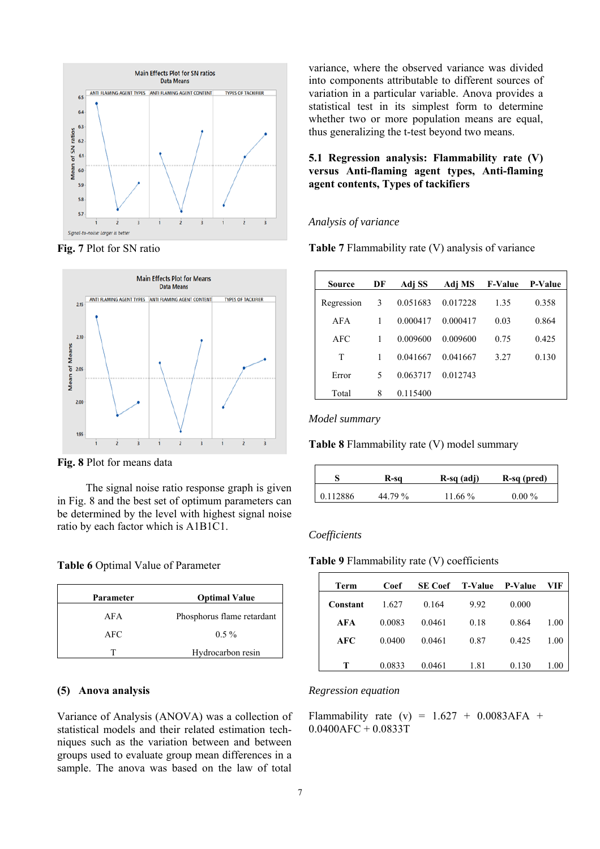

**Fig. 7** Plot for SN ratio



**Fig. 8** Plot for means data

The signal noise ratio response graph is given in Fig. 8 and the best set of optimum parameters can be determined by the level with highest signal noise ratio by each factor which is A1B1C1.

**Table 6** Optimal Value of Parameter

| Parameter | <b>Optimal Value</b>       |
|-----------|----------------------------|
| AFA       | Phosphorus flame retardant |
| AFC       | $0.5\%$                    |
|           | Hydrocarbon resin          |

# **(5) Anova analysis**

Variance of Analysis (ANOVA) was a collection of statistical models and their related estimation techniques such as the variation between and between groups used to evaluate group mean differences in a sample. The anova was based on the law of total

variance, where the observed variance was divided into components attributable to different sources of variation in a particular variable. Anova provides a statistical test in its simplest form to determine whether two or more population means are equal, thus generalizing the t-test beyond two means.

# **5.1 Regression analysis: Flammability rate (V) versus Anti-flaming agent types, Anti-flaming agent contents, Types of tackifiers**

## *Analysis of variance*

**Table 7** Flammability rate (V) analysis of variance

| Source     | DF | Adj SS   | Adj MS   | <b>F-Value</b> | P-Value |
|------------|----|----------|----------|----------------|---------|
| Regression | 3  | 0.051683 | 0.017228 | 1.35           | 0.358   |
| AFA        | 1  | 0.000417 | 0.000417 | 0.03           | 0.864   |
| AFC        | 1  | 0.009600 | 0.009600 | 0.75           | 0.425   |
| T          | 1  | 0.041667 | 0.041667 | 3.27           | 0.130   |
| Error      | 5  | 0.063717 | 0.012743 |                |         |
| Total      | 8  | 0.115400 |          |                |         |

*Model summary* 

**Table 8** Flammability rate (V) model summary

|          | R-sa    | R-sq (adj) | R-sq (pred) |
|----------|---------|------------|-------------|
| 0.112886 | 44.79 % | 11.66 %    | $0.00\%$    |

# *Coefficients*

**Table 9** Flammability rate (V) coefficients

| Term     | Coef   | <b>SE</b> Coef | <b>T-Value</b> | <b>P-Value</b> | VIF  |
|----------|--------|----------------|----------------|----------------|------|
| Constant | 1.627  | 0.164          | 9.92           | 0.000          |      |
| AFA      | 0.0083 | 0.0461         | 0.18           | 0.864          | 1.00 |
| AFC      | 0.0400 | 0.0461         | 0.87           | 0.425          | 1.00 |
|          |        |                |                |                |      |
| т        | 0.0833 | 0.0461         | 1.81           | 0.130          | 1.00 |

## *Regression equation*

Flammability rate (v) =  $1.627 + 0.0083$ AFA +  $0.0400AFC + 0.0833T$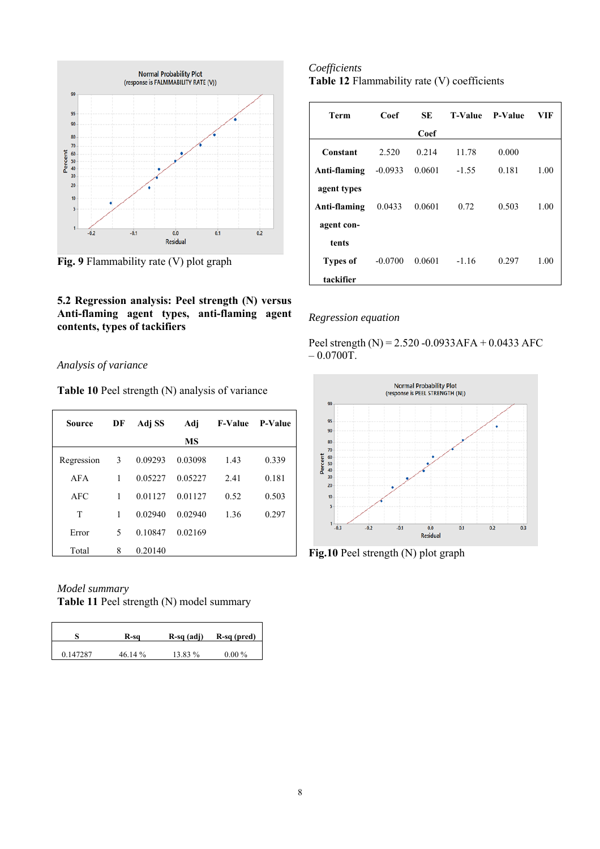

**Fig. 9** Flammability rate (V) plot graph

# **5.2 Regression analysis: Peel strength (N) versus Anti-flaming agent types, anti-flaming agent contents, types of tackifiers**

# *Analysis of variance*

| Table 10 Peel strength (N) analysis of variance |  |  |  |
|-------------------------------------------------|--|--|--|
|-------------------------------------------------|--|--|--|

| Source     | DF | Adj SS  | Adj     | <b>F-Value</b> | <b>P-Value</b> |
|------------|----|---------|---------|----------------|----------------|
|            |    |         | MS      |                |                |
| Regression | 3  | 0.09293 | 0.03098 | 1.43           | 0.339          |
| AFA        | 1  | 0.05227 | 0.05227 | 2.41           | 0.181          |
| AFC        | 1  | 0.01127 | 0.01127 | 0.52           | 0.503          |
| T          | 1  | 0.02940 | 0.02940 | 1.36           | 0.297          |
| Error      | 5  | 0.10847 | 0.02169 |                |                |
| Total      | 8  | 0.20140 |         |                |                |

*Model summary* 

**Table 11** Peel strength (N) model summary

|          | R-sq    | $R-sq$ (adj) | R-sq (pred) |
|----------|---------|--------------|-------------|
| 0.147287 | 46.14 % | 13.83 %      | $0.00\%$    |

# *Coefficients*  **Table 12** Flammability rate (V) coefficients

| Term            | Coef      | SE.    | <b>T-Value</b> | <b>P-Value</b> | VIF  |
|-----------------|-----------|--------|----------------|----------------|------|
|                 |           | Coef   |                |                |      |
| Constant        | 2.520     | 0.214  | 11.78          | 0.000          |      |
| Anti-flaming    | $-0.0933$ | 0.0601 | $-1.55$        | 0.181          | 1.00 |
| agent types     |           |        |                |                |      |
| Anti-flaming    | 0.0433    | 0.0601 | 0.72           | 0.503          | 1.00 |
| agent con-      |           |        |                |                |      |
| tents           |           |        |                |                |      |
| <b>Types of</b> | $-0.0700$ | 0.0601 | $-1.16$        | 0.297          | 1.00 |
| tackifier       |           |        |                |                |      |

# *Regression equation*

Peel strength (N) = 2.520 -0.0933AFA + 0.0433 AFC  $-0.0700T$ .



**Fig.10** Peel strength (N) plot graph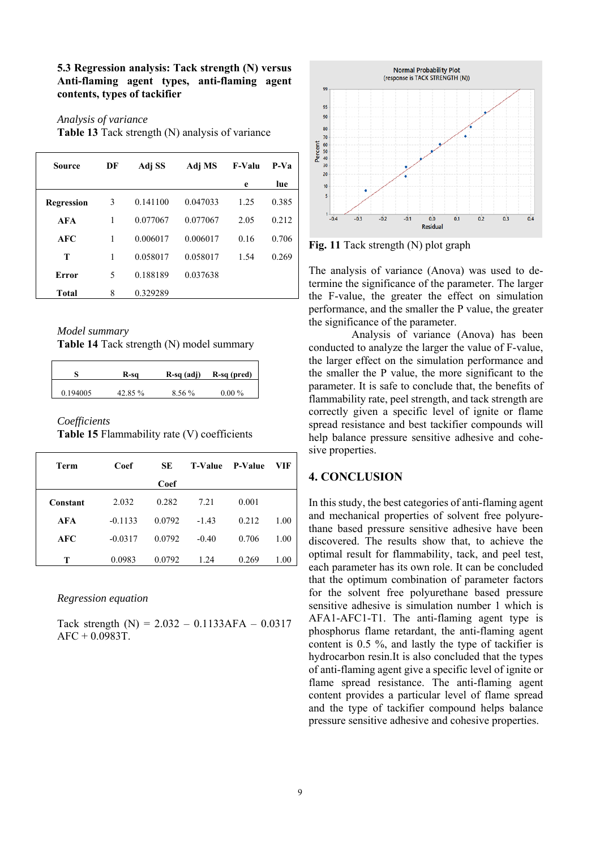**5.3 Regression analysis: Tack strength (N) versus Anti-flaming agent types, anti-flaming agent contents, types of tackifier** 

*Analysis of variance* 

**Table 13** Tack strength (N) analysis of variance

| Source            | DF | Adj SS   | Adj MS   | F-Valu | $P-Va$ |
|-------------------|----|----------|----------|--------|--------|
|                   |    |          |          | e      | lue    |
| <b>Regression</b> | 3  | 0.141100 | 0.047033 | 1.25   | 0.385  |
| <b>AFA</b>        | 1  | 0.077067 | 0.077067 | 2.05   | 0.212  |
| AFC               | 1  | 0.006017 | 0.006017 | 0.16   | 0.706  |
| Т                 | 1  | 0.058017 | 0.058017 | 1.54   | 0.269  |
| Error             | 5  | 0.188189 | 0.037638 |        |        |
| <b>Total</b>      | 8  | 0.329289 |          |        |        |

*Model summary* 

**Table 14** Tack strength (N) model summary

|          | R-sa    | R-sq (adj) | R-sq (pred) |
|----------|---------|------------|-------------|
| 0.194005 | 42.85 % | $8.56\%$   | $0.00\%$    |

#### *Coefficients*

**Table 15** Flammability rate (V) coefficients

| Term       | Coef      | SE     | <b>T-Value</b> | <b>P-Value</b> | VIF  |
|------------|-----------|--------|----------------|----------------|------|
|            |           | Coef   |                |                |      |
| Constant   | 2.032     | 0.282  | 7.21           | 0.001          |      |
| <b>AFA</b> | $-0.1133$ | 0.0792 | $-1.43$        | 0.212          | 1.00 |
| AFC        | $-0.0317$ | 0.0792 | $-0.40$        | 0.706          | 1.00 |
| т          | 0.0983    | 0.0792 | 1.24           | 0.269          | 1.00 |

*Regression equation* 

Tack strength  $(N) = 2.032 - 0.1133$  AFA  $- 0.0317$ AFC + 0.0983T.



**Fig. 11** Tack strength (N) plot graph

The analysis of variance (Anova) was used to determine the significance of the parameter. The larger the F-value, the greater the effect on simulation performance, and the smaller the P value, the greater the significance of the parameter.

 Analysis of variance (Anova) has been conducted to analyze the larger the value of F-value, the larger effect on the simulation performance and the smaller the P value, the more significant to the parameter. It is safe to conclude that, the benefits of flammability rate, peel strength, and tack strength are correctly given a specific level of ignite or flame spread resistance and best tackifier compounds will help balance pressure sensitive adhesive and cohesive properties.

# **4. CONCLUSION**

In this study, the best categories of anti-flaming agent and mechanical properties of solvent free polyurethane based pressure sensitive adhesive have been discovered. The results show that, to achieve the optimal result for flammability, tack, and peel test, each parameter has its own role. It can be concluded that the optimum combination of parameter factors for the solvent free polyurethane based pressure sensitive adhesive is simulation number 1 which is AFA1-AFC1-T1. The anti-flaming agent type is phosphorus flame retardant, the anti-flaming agent content is 0.5 %, and lastly the type of tackifier is hydrocarbon resin.It is also concluded that the types of anti-flaming agent give a specific level of ignite or flame spread resistance. The anti-flaming agent content provides a particular level of flame spread and the type of tackifier compound helps balance pressure sensitive adhesive and cohesive properties.